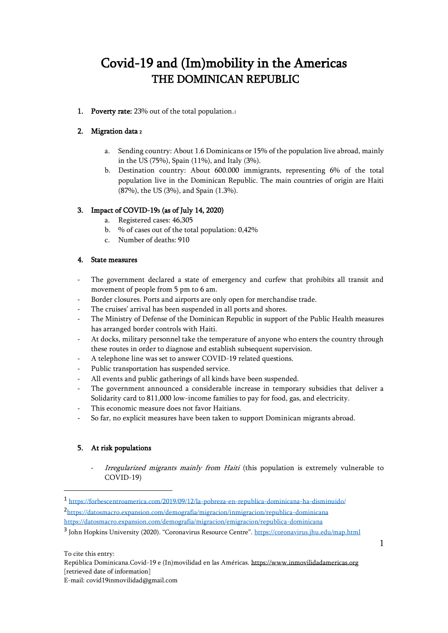# Covid-19 and (Im)mobility in the Americas THE DOMINICAN REPUBLIC

1. Poverty rate: 23% out of the total population.1

# 2. Migration data <sup>2</sup>

- a. Sending country: About 1.6 Dominicans or 15% of the population live abroad, mainly in the US (75%), Spain (11%), and Italy (3%).
- b. Destination country: About 600.000 immigrants, representing 6% of the total population live in the Dominican Republic. The main countries of origin are Haiti (87%), the US (3%), and Spain (1.3%).

# 3. Impact of COVID-193 (as of July 14, 2020)

- a. Registered cases: 46,305
- b. % of cases out of the total population: 0,42%
- c. Number of deaths: 910

### 4. State measures

- The government declared a state of emergency and curfew that prohibits all transit and movement of people from 5 pm to 6 am.
- Border closures. Ports and airports are only open for merchandise trade.
- The cruises' arrival has been suspended in all ports and shores.
- The Ministry of Defense of the Dominican Republic in support of the Public Health measures has arranged border controls with Haiti.
- At docks, military personnel take the temperature of anyone who enters the country through these routes in order to diagnose and establish subsequent supervision.
- A telephone line was set to answer COVID-19 related questions.
- Public transportation has suspended service.
- All events and public gatherings of all kinds have been suspended.
- The government announced a considerable increase in temporary subsidies that deliver a Solidarity card to 811,000 low-income families to pay for food, gas, and electricity.
- This economic measure does not favor Haitians.
- So far, no explicit measures have been taken to support Dominican migrants abroad.

# 5. At risk populations

Irregularized migrants mainly from Haiti (this population is extremely vulnerable to COVID-19)

<sup>1</sup> <https://forbescentroamerica.com/2019/09/12/la-pobreza-en-republica-dominicana-ha-disminuido/> 2 <https://datosmacro.expansion.com/demografia/migracion/inmigracion/republica-dominicana> <https://datosmacro.expansion.com/demografia/migracion/emigracion/republica-dominicana>

<sup>&</sup>lt;sup>3</sup> John Hopkins University (2020). "Coronavirus Resource Centre". <https://coronavirus.jhu.edu/map.html>

To cite this entry:

República Dominicana.Covid-19 e (In)movilidad en las Américas[. https://www.inmovilidadamericas.org](https://www.inmovilidadamericas.org/) [retrieved date of information]

E-mail: covid19inmovilidad@gmail.com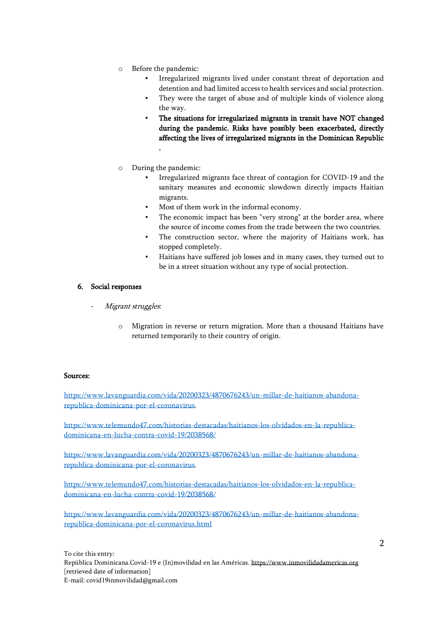- o Before the pandemic:
	- Irregularized migrants lived under constant threat of deportation and detention and had limited access to health services and social protection.
	- They were the target of abuse and of multiple kinds of violence along the way.
	- The situations for irregularized migrants in transit have NOT changed during the pandemic. Risks have possibly been exacerbated, directly affecting the lives of irregularized migrants in the Dominican Republic .
- o During the pandemic:
	- Irregularized migrants face threat of contagion for COVID-19 and the sanitary measures and economic slowdown directly impacts Haitian migrants.
	- Most of them work in the informal economy.
	- The economic impact has been "very strong" at the border area, where the source of income comes from the trade between the two countries.
	- The construction sector, where the majority of Haitians work, has stopped completely.
	- Haitians have suffered job losses and in many cases, they turned out to be in a street situation without any type of social protection.

#### 6. Social responses

- Migrant struggles:
	- o Migration in reverse or return migration. More than a thousand Haitians have returned temporarily to their country of origin.

#### Sources:

[https://www.lavanguardia.com/vida/20200323/4870676243/un-millar-de-haitianos-abandona](https://www.lavanguardia.com/vida/20200323/4870676243/un-millar-de-haitianos-abandona-republica-dominicana-por-el-coronavirus)[republica-dominicana-por-el-coronavirus.](https://www.lavanguardia.com/vida/20200323/4870676243/un-millar-de-haitianos-abandona-republica-dominicana-por-el-coronavirus)

[https://www.telemundo47.com/historias-destacadas/haitianos-los-olvidados-en-la-republica](https://www.telemundo47.com/historias-destacadas/haitianos-los-olvidados-en-la-republica-dominicana-en-lucha-contra-covid-19/2038568/)[dominicana-en-lucha-contra-covid-19/2038568/](https://www.telemundo47.com/historias-destacadas/haitianos-los-olvidados-en-la-republica-dominicana-en-lucha-contra-covid-19/2038568/)

[https://www.lavanguardia.com/vida/20200323/4870676243/un-millar-de-haitianos-abandona](https://www.lavanguardia.com/vida/20200323/4870676243/un-millar-de-haitianos-abandona-republica-dominicana-por-el-coronavirus)[republica-dominicana-por-el-coronavirus.](https://www.lavanguardia.com/vida/20200323/4870676243/un-millar-de-haitianos-abandona-republica-dominicana-por-el-coronavirus)

[https://www.telemundo47.com/historias-destacadas/haitianos-los-olvidados-en-la-republica](https://www.telemundo47.com/historias-destacadas/haitianos-los-olvidados-en-la-republica-dominicana-en-lucha-contra-covid-19/2038568/)[dominicana-en-lucha-contra-covid-19/2038568/](https://www.telemundo47.com/historias-destacadas/haitianos-los-olvidados-en-la-republica-dominicana-en-lucha-contra-covid-19/2038568/)

[https://www.lavanguardia.com/vida/20200323/4870676243/un-millar-de-haitianos-abandona](https://www.lavanguardia.com/vida/20200323/4870676243/un-millar-de-haitianos-abandona-republica-dominicana-por-el-coronavirus.html)[republica-dominicana-por-el-coronavirus.html](https://www.lavanguardia.com/vida/20200323/4870676243/un-millar-de-haitianos-abandona-republica-dominicana-por-el-coronavirus.html)

To cite this entry: República Dominicana.Covid-19 e (In)movilidad en las Américas[. https://www.inmovilidadamericas.org](https://www.inmovilidadamericas.org/) [retrieved date of information] E-mail: covid19inmovilidad@gmail.com